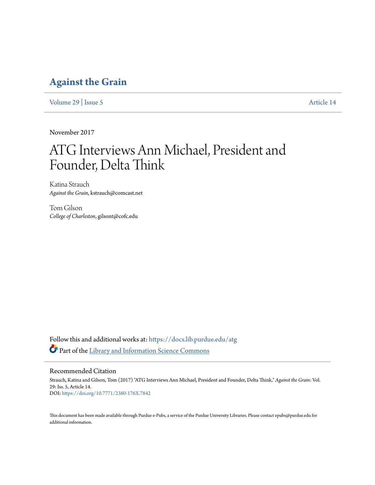### **[Against the Grain](https://docs.lib.purdue.edu/atg?utm_source=docs.lib.purdue.edu%2Fatg%2Fvol29%2Fiss5%2F14&utm_medium=PDF&utm_campaign=PDFCoverPages)**

[Volume 29](https://docs.lib.purdue.edu/atg/vol29?utm_source=docs.lib.purdue.edu%2Fatg%2Fvol29%2Fiss5%2F14&utm_medium=PDF&utm_campaign=PDFCoverPages) | [Issue 5](https://docs.lib.purdue.edu/atg/vol29/iss5?utm_source=docs.lib.purdue.edu%2Fatg%2Fvol29%2Fiss5%2F14&utm_medium=PDF&utm_campaign=PDFCoverPages) [Article 14](https://docs.lib.purdue.edu/atg/vol29/iss5/14?utm_source=docs.lib.purdue.edu%2Fatg%2Fvol29%2Fiss5%2F14&utm_medium=PDF&utm_campaign=PDFCoverPages)

November 2017

# ATG Interviews Ann Michael, President and Founder, Delta Think

Katina Strauch *Against the Grain*, kstrauch@comcast.net

Tom Gilson *College of Charleston*, gilsont@cofc.edu

Follow this and additional works at: [https://docs.lib.purdue.edu/atg](https://docs.lib.purdue.edu/atg?utm_source=docs.lib.purdue.edu%2Fatg%2Fvol29%2Fiss5%2F14&utm_medium=PDF&utm_campaign=PDFCoverPages) Part of the [Library and Information Science Commons](http://network.bepress.com/hgg/discipline/1018?utm_source=docs.lib.purdue.edu%2Fatg%2Fvol29%2Fiss5%2F14&utm_medium=PDF&utm_campaign=PDFCoverPages)

#### Recommended Citation

Strauch, Katina and Gilson, Tom (2017) "ATG Interviews Ann Michael, President and Founder, Delta Think," *Against the Grain*: Vol. 29: Iss. 5, Article 14. DOI: <https://doi.org/10.7771/2380-176X.7842>

This document has been made available through Purdue e-Pubs, a service of the Purdue University Libraries. Please contact epubs@purdue.edu for additional information.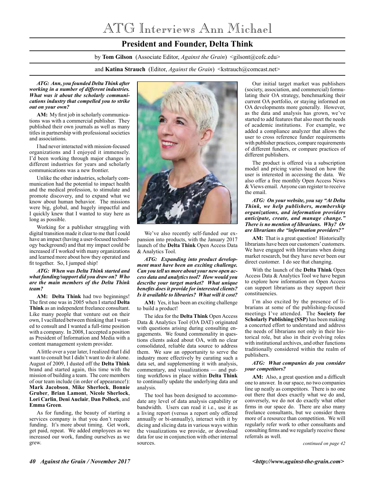## ATG Interviews Ann Michael

### **President and Founder, Delta Think**

by **Tom Gilson** (Associate Editor, *Against the Grain*) <gilsont@cofc.edu>

and **Katina Strauch** (Editor, *Against the Grain*) <kstrauch@comcast.net>

#### *ATG: Ann, you founded Delta Think after working in a number of different industries. What was it about the scholarly communications industry that compelled you to strike out on your own?*

**AM:** My first job in scholarly communications was with a commercial publisher. They published their own journals as well as many titles in partnership with professional societies and associations.

I had never interacted with mission-focused organizations and I enjoyed it immensely. I'd been working through major changes in different industries for years and scholarly communications was a new frontier.

Unlike the other industries, scholarly communication had the potential to impact health and the medical profession, to stimulate and promote discovery, and to expand what we know about human behavior. The missions were big, global, and hugely impactful and I quickly knew that I wanted to stay here as long as possible.

Working for a publisher struggling with digital transition made it clear to me that I could have an impact (having a user-focused technology background) and that my impact could be increased if I worked with many organizations and learned more about how they operated and fit together. So, I jumped ship!

#### *ATG: When was Delta Think started and what funding/support did you draw on? Who are the main members of the Delta Think team?*

**AM: Delta Think** had two beginnings! The first one was in 2005 when I started **Delta Think** as an independent freelance consultant. Like many people that venture out on their own, I vacillated between thinking that I wanted to consult and I wanted a full-time position with a company. In 2008, I accepted a position as President of Information and Media with a content management system provider.

A little over a year later, I realized that I did want to consult but I didn't want to do it alone. August of 2009, I dusted off the **Delta Think** brand and started again, this time with the mission of building a team. The core members of our team include (in order of appearance!): **Mark Jacobson**, **Mike Sherlock**, **Bonnie Gruber**, **Brian Lamont**, **Nicole Sherlock**, **Lori Carlin**, **Deni Auclair**, **Dan Pollock**, and **Emma Green**.

As for funding, the beauty of starting a services company is that you don't require funding. It's more about timing. Get work, get paid, repeat. We added employees as we increased our work, funding ourselves as we grew.



We've also recently self-funded our expansion into products, with the January 2017 launch of the **Delta Think** Open Access Data & Analytics Tool.

*ATG: Expanding into product development must have been an exciting challenge. Can you tell us more about your new open access data and analytics tool? How would you describe your target market? What unique benefits does it provide for interested clients? Is it available to libraries? What will it cost?* 

**AM:** Yes, it has been an exciting challenge to build a product!

The idea for the **Delta Think** Open Access Data & Analytics Tool (OA DAT) originated with questions arising during consulting engagements. We found commonality in questions clients asked about OA, with no clear consolidated, reliable data source to address them. We saw an opportunity to serve the industry more effectively by curating such a data set, and supplementing it with analysis, commentary, and visualizations — and putting workflows in place within **Delta Think** to continually update the underlying data and analysis.

The tool has been designed to accommodate any level of data analysis capability or bandwidth. Users can read it i.e., use it as a living report (versus a report only offered annually or bi-annually), interact with it by dicing and slicing data in various ways within the visualizations we provide, or download data for use in conjunction with other internal sources.

Our initial target market was publishers (society, association, and commercial) formulating their OA strategy, benchmarking their current OA portfolio, or staying informed on OA developments more generally. However, as the data and analysis has grown, we've started to add features that also meet the needs of academic institutions. For example, we added a compliance analyzer that allows the user to cross reference funder requirements with publisher practices, compare requirements of different funders, or compare practices of different publishers.

The product is offered via a subscription model and pricing varies based on how the user is interested in accessing the data. We also offer a free monthly Open Access News & Views email. Anyone can register to receive the email.

*ATG: On your website, you say "At Delta Think, we help publishers, membership organizations, and information providers anticipate, create, and manage change." There is no mention of librarians. Why? Or are librarians the "information providers?"* 

AM: That is a great question! Historically librarians have been our customers' customers. We have engaged with librarians when doing market research, but they have never been our direct customer. I do see that changing.

With the launch of the **Delta Think** Open Access Data & Analytics Tool we have begun to explore how information on Open Access can support librarians as they support their constituencies.

I'm also excited by the presence of librarians at some of the publishing-focused meetings I've attended. The **Society for Scholarly Publishing (SSP)** has been making a concerted effort to understand and address the needs of librarians not only in their historical role, but also in their evolving roles with institutional archives, and other functions traditionally considered within the realm of publishers.

#### *ATG: What companies do you consider your competitors?*

**AM:** Also, a great question and a difficult one to answer. In our space, no two companies line up neatly as competitors. There is no one out there that does exactly what we do and, conversely, we do not do exactly what other firms in our space do. There are also many freelance consultants, but we consider them more of a resource than competition. We will regularly refer work to other consultants and consulting firms and we regularly receive those referrals as well.

*continued on page 42*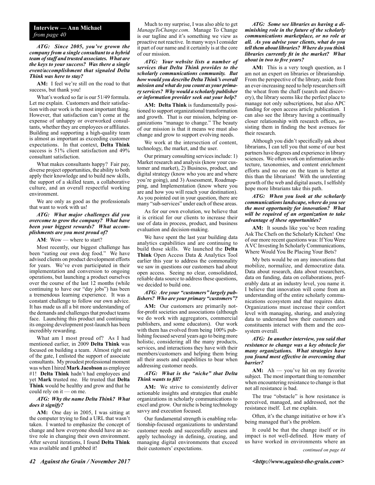#### **Interview — Ann Michael** *from page 40*

*ATG: Since 2005, you've grown the company from a single consultant to a hybrid team of staff and trusted associates. What are the keys to your success? Was there a single event/accomplishment that signaled Delta Think was here to stay?*

**AM:** I feel we're still on the road to that success, but thank you!

What's worked so far is our 51/49 formula. Let me explain. Customers and their satisfaction with our work is the most important thing. However, that satisfaction can't come at the expense of unhappy or overworked consultants, whether they are employees or affiliates. Building and supporting a high-quality team is almost as important as exceeding customer expectations. In that context, **Delta Think** success is 51% client satisfaction and 49% consultant satisfaction.

What makes consultants happy? Fair pay, diverse project opportunities, the ability to both apply their knowledge and to build new skills, the support of a skilled team, a collaborative culture, and an overall respectful working environment.

We are only as good as the professionals that want to work with us!

#### *ATG: What major challenges did you overcome to grow the company? What have been your biggest rewards? What accomplishments are you most proud of?*

AM: Wow — where to start?

Most recently, our biggest challenge has been "eating our own dog food." We have advised clients on product development efforts for years. We've even participated in their implementation and conversion to ongoing operations, but launching a product ourselves over the course of the last 12 months (while continuing to have our "day jobs") has been a tremendous learning experience. It was a constant challenge to follow our own advice. It has made us all a bit more understanding of the demands and challenges that product teams face. Launching this product and continuing its ongoing development post-launch has been incredibly rewarding.

What am I most proud of? As I had mentioned earlier, in 2009 **Delta Think** was focused on building a team. Almost right out of the gate, I enlisted the support of associate consultants. My proudest professional moment was when I hired **Mark Jacobson** as employee #1! **Delta Think** hadn't had employees and yet **Mark** trusted me. He trusted that **Delta Think** would be healthy and grow and that he could rely on it — on me.

#### *ATG: Why the name Delta Think? What does it signify?*

**AM:** One day in 2005, I was sitting at the computer trying to find a URL that wasn't taken. I wanted to emphasize the concept of change and how everyone should have an active role in changing their own environment. After several iterations, I found **Delta Think** was available and I grabbed it!

Much to my surprise, I was also able to get *ManageToChange.com*. Manage To Change is our tagline and it's something we view as proactive not reactive. In many ways I consider it part of our name and it certainly is at the core of our mission.

*ATG: Your website lists a number of services that Delta Think provides to the scholarly communications community. But how would you describe Delta Think's overall mission and what do you count as your primary services? Why would a scholarly publisher or information provider seek out your help?*

**AM: Delta Think** is fundamentally positioned to support organizational transformation and growth. That is our mission, helping organizations "manage to change." The beauty of our mission is that it means we must also change and grow to support evolving needs.

We work at the intersection of content, technology, the market, and the user.

Our primary consulting services include: 1) Market research and analysis (know your customer and market), 2) Business, product, and digital strategy (know who you are and where you're going), and 3) Assessment, Roadmapping, and Implementation (know where you are and how you will reach your destination). As you pointed out in your question, there are many "sub-services" under each of these areas.

As for our own evolution, we believe that it is critical for our clients to increase their use of data in process, product, and business evaluation and decision-making.

We have spent the last year building data analytics capabilities and are continuing to build those skills. We launched the **Delta Think** Open Access Data & Analytics Tool earlier this year to address the commonality we saw in questions our customers had about open access. Seeing no clear, consolidated, reliable data source to address these questions, we decided to build one.

#### *ATG: Are your "customers" largely publishers? Who are your primary "customers"?*

**AM:** Our customers are primarily notfor-profit societies and associations (although we do work with aggregators, commercial publishers, and some educators). Our work with them has evolved from being 100% publishing focused several years ago to being more holistic, considering all the many products, services, and interactions they have with their members/customers and helping them bring all their assets and capabilities to bear when addressing customer needs.

#### *ATG: What is the "niche" that Delta Think wants to fill?*

**AM:** We strive to consistently deliver actionable insights and strategies that enable organizations in scholarly communications to excel and grow. Our niche is being technology savvy and execution focused.

Our fundamental strength is enabling relationship-focused organizations to understand customer needs and successfully assess and apply technology in defining, creating, and managing digital environments that exceed their customers' expectations.

#### *ATG: Some see libraries as having a diminishing role in the future of the scholarly communications marketplace, or no role at all. As you advise your clients, what do you tell them about libraries? Where do you think libraries currently fit in the market? What about in two to five years?*

**AM:** This is a very tough question, as I am not an expert on libraries or librarianship. From the perspective of the library, aside from an ever-increasing need to help researchers sift the wheat from the chaff (search and discovery), the library seems like the perfect place to manage not only subscriptions, but also APC funding for open access article publication. I can also see the library having a continually closer relationship with research offices, assisting them in finding the best avenues for their research.

Although you didn't specifically ask about librarians, I can tell you that some of our best partners have degrees and experience in library sciences. We often work on information architecture, taxonomies, and content enrichment efforts and no one on the team is better at this than the librarians! With the unrelenting growth of the web and digital assets, I selfishly hope more librarians take this path.

#### *ATG: When you look at the scholarly communications landscape, where do you see the most opportunity for innovation? What will be required of an organization to take advantage of these opportunities?*

AM: It sounds like you've been reading Ask The Chefs on the Scholarly Kitchen! One of our more recent questions was: If You Were A VC Investing In Scholarly Communications, Where Would You Be Placing Your Bets?

My bets would be on any innovations that mobilize, normalize, and democratize data. Data about research, data about researchers, data on funding, data on collaborations, preferably data at an industry level, you name it. I believe that innovation will come from an understanding of the entire scholarly communications ecosystem and that requires data. Organizations must increase their comfort level with managing, sharing, and analyzing data to understand how their customers and constituents interact with them and the ecosystem overall.

#### *ATG: In another interview, you said that resistance to change was a key obstacle for many organizations. What strategies have you found most effective in overcoming that barrier?*

**AM:** Ah — you've hit on my favorite subject. The most important thing to remember when encountering resistance to change is that not all resistance is bad.

The true "obstacle" is how resistance is perceived, managed, and addressed, not the resistance itself. Let me explain.

Often, it's the change initiative or how it's being managed that's the problem.

It could be that the change itself or its impact is not well-defined. How many of us have worked in environments where an